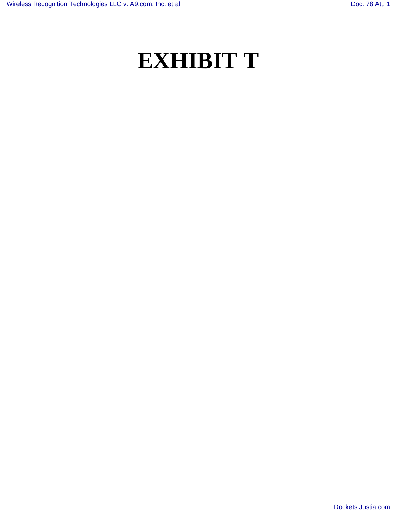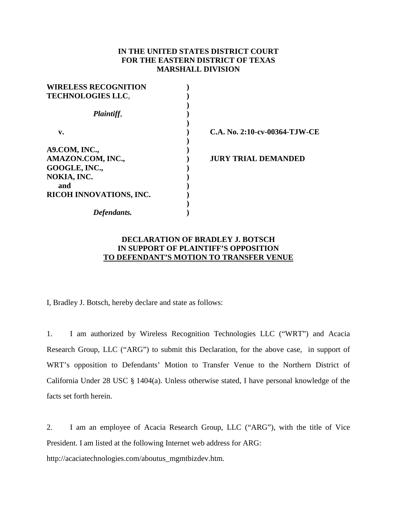## **IN THE UNITED STATES DISTRICT COURT FOR THE EASTERN DISTRICT OF TEXAS MARSHALL DIVISION**

| <b>WIRELESS RECOGNITION</b> |                               |
|-----------------------------|-------------------------------|
| <b>TECHNOLOGIES LLC.</b>    |                               |
| Plaintiff,                  |                               |
| v.                          | C.A. No. 2:10-cv-00364-TJW-CE |
| A9.COM, INC.,               |                               |
| AMAZON.COM, INC.,           | <b>JURY TRIAL DEMANDED</b>    |
| GOOGLE, INC.,               |                               |
| NOKIA, INC.                 |                               |
| and                         |                               |
| RICOH INNOVATIONS, INC.     |                               |
|                             |                               |
| Defendants.                 |                               |

## **DECLARATION OF BRADLEY J. BOTSCH IN SUPPORT OF PLAINTIFF'S OPPOSITION TO DEFENDANT'S MOTION TO TRANSFER VENUE**

I, Bradley J. Botsch, hereby declare and state as follows:

1. I am authorized by Wireless Recognition Technologies LLC ("WRT") and Acacia Research Group, LLC ("ARG") to submit this Declaration, for the above case, in support of WRT's opposition to Defendants' Motion to Transfer Venue to the Northern District of California Under 28 USC § 1404(a). Unless otherwise stated, I have personal knowledge of the facts set forth herein.

2. I am an employee of Acacia Research Group, LLC ("ARG"), with the title of Vice President. I am listed at the following Internet web address for ARG:

http://acaciatechnologies.com/aboutus\_mgmtbizdev.htm.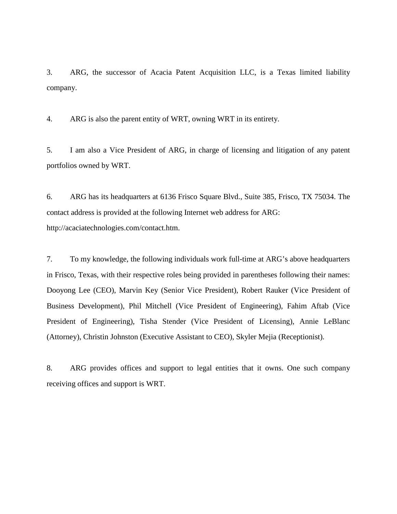3. ARG, the successor of Acacia Patent Acquisition LLC, is a Texas limited liability company.

4. ARG is also the parent entity of WRT, owning WRT in its entirety.

5. I am also a Vice President of ARG, in charge of licensing and litigation of any patent portfolios owned by WRT.

6. ARG has its headquarters at 6136 Frisco Square Blvd., Suite 385, Frisco, TX 75034. The contact address is provided at the following Internet web address for ARG: http://acaciatechnologies.com/contact.htm.

7. To my knowledge, the following individuals work full-time at ARG's above headquarters in Frisco, Texas, with their respective roles being provided in parentheses following their names: Dooyong Lee (CEO), Marvin Key (Senior Vice President), Robert Rauker (Vice President of Business Development), Phil Mitchell (Vice President of Engineering), Fahim Aftab (Vice President of Engineering), Tisha Stender (Vice President of Licensing), Annie LeBlanc (Attorney), Christin Johnston (Executive Assistant to CEO), Skyler Mejia (Receptionist).

8. ARG provides offices and support to legal entities that it owns. One such company receiving offices and support is WRT.